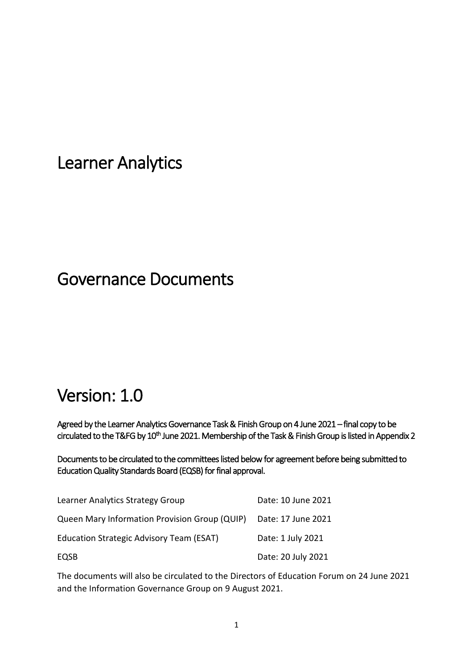Learner Analytics

## Governance Documents

# Version: 1.0

Agreed by the Learner Analytics Governance Task & Finish Group on 4 June 2021 – final copy to be circulated to the T&FG by 10<sup>th</sup> June 2021. Membership of the Task & Finish Group is listed in Appendix 2

Documents to be circulated to the committees listed below for agreement before being submitted to Education Quality Standards Board (EQSB) for final approval.

| Learner Analytics Strategy Group              | Date: 10 June 2021 |
|-----------------------------------------------|--------------------|
| Queen Mary Information Provision Group (QUIP) | Date: 17 June 2021 |
| Education Strategic Advisory Team (ESAT)      | Date: 1 July 2021  |
| EQSB                                          | Date: 20 July 2021 |

The documents will also be circulated to the Directors of Education Forum on 24 June 2021 and the Information Governance Group on 9 August 2021.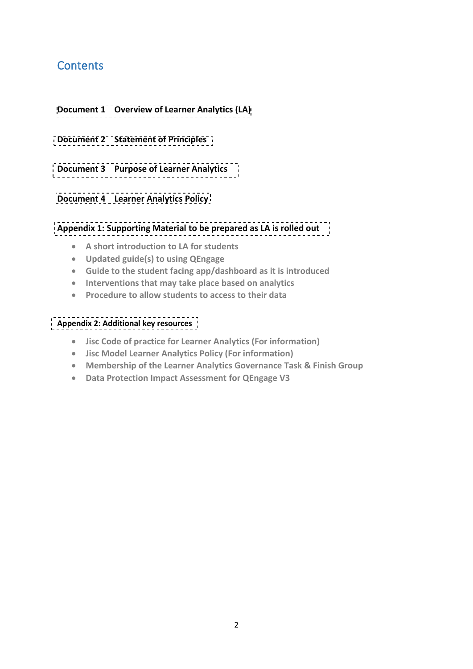## **Contents**

- **Document 1 [Overview of Learner Analytics](#page-2-0) (LA)**
- **Document 2 [Statement of Principles](#page-3-0)**
- **Document 3 [Purpose of Learner Analytics](#page-4-0)**
- **Document 4 [Learner Analytics](#page-6-0) Policy**

#### **[Appendix 1: Supporting Material to be prepared as LA is rolled out](#page-11-0)**

- **A short introduction to LA for students**
- **Updated guide(s) to using QEngage**
- **Guide to the student facing app/dashboard as it is introduced**
- **Interventions that may take place based on analytics**
- **Procedure to allow students to access to their data**

#### **[Appendix 2: Additional key resources](#page-12-0)**

- **Jisc Code of practice for Learner Analytics (For information)**
- **Jisc Model Learner Analytics Policy (For information)**
- **Membership of the Learner Analytics Governance Task & Finish Group**
- **Data Protection Impact Assessment for QEngage V3**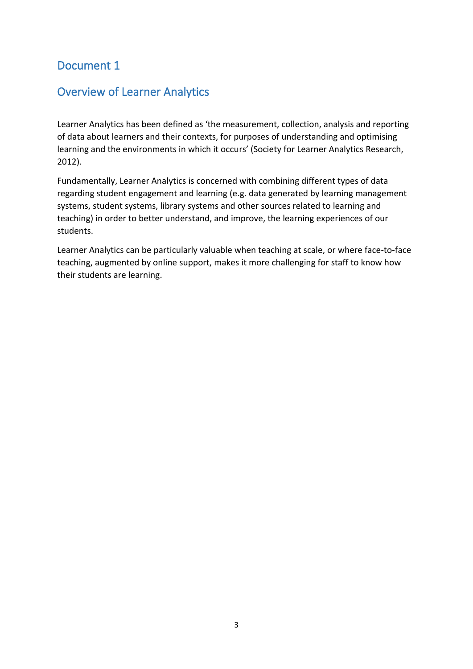## <span id="page-2-0"></span>Overview of Learner Analytics

Learner Analytics has been defined as 'the measurement, collection, analysis and reporting of data about learners and their contexts, for purposes of understanding and optimising learning and the environments in which it occurs' (Society for Learner Analytics Research, 2012).

Fundamentally, Learner Analytics is concerned with combining different types of data regarding student engagement and learning (e.g. data generated by learning management systems, student systems, library systems and other sources related to learning and teaching) in order to better understand, and improve, the learning experiences of our students.

Learner Analytics can be particularly valuable when teaching at scale, or where face-to-face teaching, augmented by online support, makes it more challenging for staff to know how their students are learning.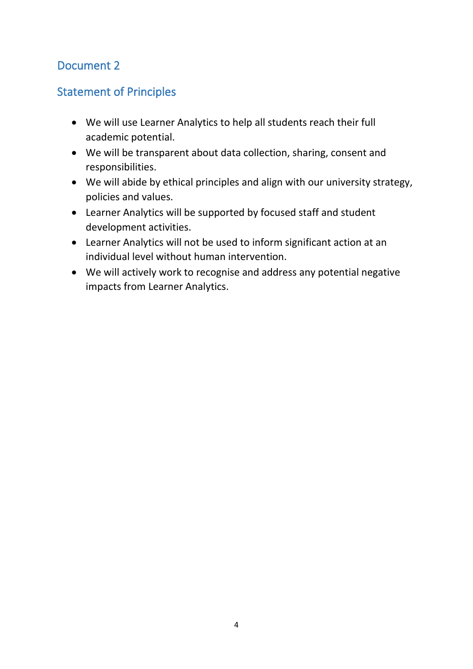## <span id="page-3-0"></span>Statement of Principles

- We will use Learner Analytics to help all students reach their full academic potential.
- We will be transparent about data collection, sharing, consent and responsibilities.
- We will abide by ethical principles and align with our university strategy, policies and values.
- Learner Analytics will be supported by focused staff and student development activities.
- Learner Analytics will not be used to inform significant action at an individual level without human intervention.
- We will actively work to recognise and address any potential negative impacts from Learner Analytics.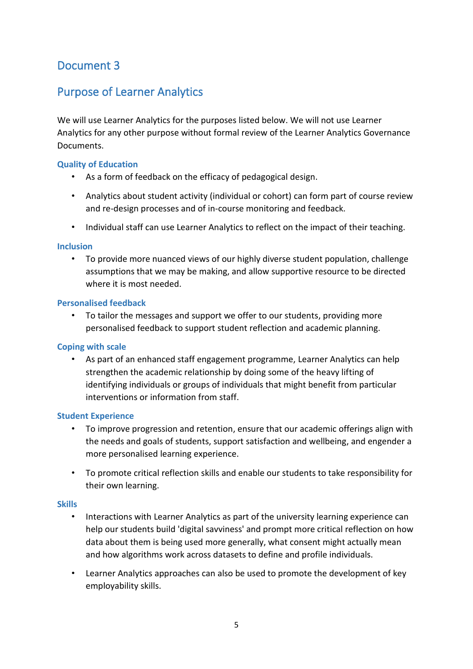## <span id="page-4-0"></span>Purpose of Learner Analytics

We will use Learner Analytics for the purposes listed below. We will not use Learner Analytics for any other purpose without formal review of the Learner Analytics Governance **Documents** 

#### **Quality of Education**

- As a form of feedback on the efficacy of pedagogical design.
- Analytics about student activity (individual or cohort) can form part of course review and re-design processes and of in-course monitoring and feedback.
- Individual staff can use Learner Analytics to reflect on the impact of their teaching.

#### **Inclusion**

• To provide more nuanced views of our highly diverse student population, challenge assumptions that we may be making, and allow supportive resource to be directed where it is most needed.

#### **Personalised feedback**

• To tailor the messages and support we offer to our students, providing more personalised feedback to support student reflection and academic planning.

#### **Coping with scale**

• As part of an enhanced staff engagement programme, Learner Analytics can help strengthen the academic relationship by doing some of the heavy lifting of identifying individuals or groups of individuals that might benefit from particular interventions or information from staff.

#### **Student Experience**

- To improve progression and retention, ensure that our academic offerings align with the needs and goals of students, support satisfaction and wellbeing, and engender a more personalised learning experience.
- To promote critical reflection skills and enable our students to take responsibility for their own learning.

#### **Skills**

- Interactions with Learner Analytics as part of the university learning experience can help our students build 'digital savviness' and prompt more critical reflection on how data about them is being used more generally, what consent might actually mean and how algorithms work across datasets to define and profile individuals.
- Learner Analytics approaches can also be used to promote the development of key employability skills.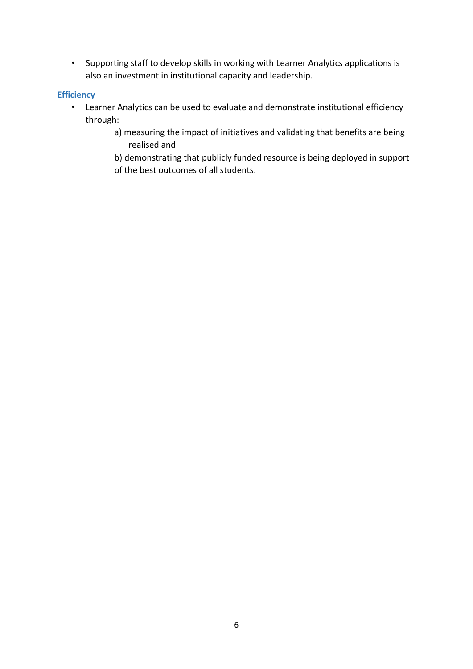• Supporting staff to develop skills in working with Learner Analytics applications is also an investment in institutional capacity and leadership.

#### **Efficiency**

- Learner Analytics can be used to evaluate and demonstrate institutional efficiency through:
	- a) measuring the impact of initiatives and validating that benefits are being realised and

b) demonstrating that publicly funded resource is being deployed in support of the best outcomes of all students.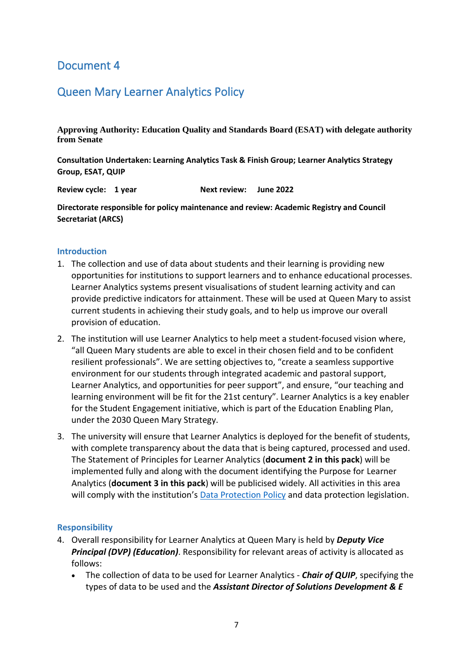## <span id="page-6-0"></span>Queen Mary Learner Analytics Policy

**Approving Authority: Education Quality and Standards Board (ESAT) with delegate authority from Senate**

**Consultation Undertaken: Learning Analytics Task & Finish Group; Learner Analytics Strategy Group, ESAT, QUIP**

**Review cycle: 1 year Next review: June 2022**

**Directorate responsible for policy maintenance and review: Academic Registry and Council Secretariat (ARCS)**

#### **Introduction**

- 1. The collection and use of data about students and their learning is providing new opportunities for institutions to support learners and to enhance educational processes. Learner Analytics systems present visualisations of student learning activity and can provide predictive indicators for attainment. These will be used at Queen Mary to assist current students in achieving their study goals, and to help us improve our overall provision of education.
- 2. The institution will use Learner Analytics to help meet a student-focused vision where, "all Queen Mary students are able to excel in their chosen field and to be confident resilient professionals". We are setting objectives to, "create a seamless supportive environment for our students through integrated academic and pastoral support, Learner Analytics, and opportunities for peer support", and ensure, "our teaching and learning environment will be fit for the 21st century". Learner Analytics is a key enabler for the Student Engagement initiative, which is part of the Education Enabling Plan, under the 2030 Queen Mary Strategy.
- 3. The university will ensure that Learner Analytics is deployed for the benefit of students, with complete transparency about the data that is being captured, processed and used. The Statement of Principles for Learner Analytics (**document 2 in this pack**) will be implemented fully and along with the document identifying the Purpose for Learner Analytics (**document 3 in this pack**) will be publicised widely. All activities in this area will comply with the institution's [Data Protection Policy](http://www.arcs.qmul.ac.uk/media/arcs/policyzone/Data-Protection-Policy-v03.0.pdf) and data protection legislation.

#### **Responsibility**

- 4. Overall responsibility for Learner Analytics at Queen Mary is held by *Deputy Vice* **Principal (DVP) (Education)**. Responsibility for relevant areas of activity is allocated as follows:
	- The collection of data to be used for Learner Analytics *- Chair of QUIP*, specifying the types of data to be used and the *Assistant Director of Solutions Development & E*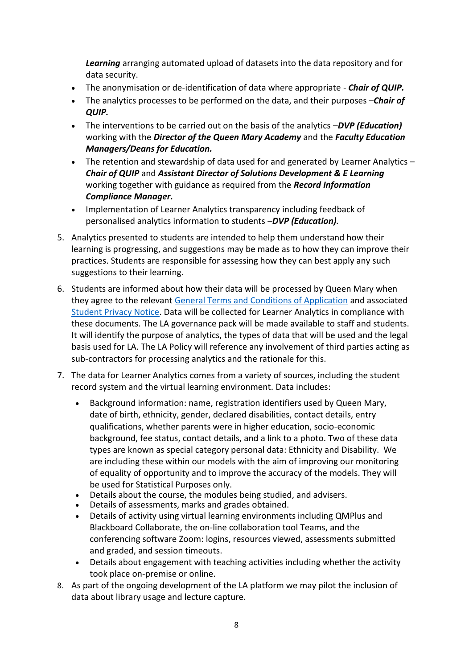*Learning* arranging automated upload of datasets into the data repository and for data security.

- The anonymisation or de-identification of data where appropriate *Chair of QUIP.*
- The analytics processes to be performed on the data, and their purposes –*Chair of QUIP.*
- The interventions to be carried out on the basis of the analytics –*DVP (Education)* working with the *Director of the Queen Mary Academy* and the *Faculty Education Managers/Deans for Education.*
- The retention and stewardship of data used for and generated by Learner Analytics *Chair of QUIP* and *Assistant Director of Solutions Development & E Learning* working together with guidance as required from the *Record Information Compliance Manager.*
- Implementation of Learner Analytics transparency including feedback of personalised analytics information to students –*DVP (Education).*
- 5. Analytics presented to students are intended to help them understand how their learning is progressing, and suggestions may be made as to how they can improve their practices. Students are responsible for assessing how they can best apply any such suggestions to their learning.
- 6. Students are informed about how their data will be processed by Queen Mary when they agree to the relevant [General Terms and Conditions of Application](https://www.qmul.ac.uk/media/arcs/qmstaff/admissions/documents/General-Terms-and-Conditions-2021-22.pdf) and associated [Student Privacy Notice.](http://www.arcs.qmul.ac.uk/media/arcs/policyzone/Privacy-Notice-for-Students-via-MySIS-standard.pdf) Data will be collected for Learner Analytics in compliance with these documents. The LA governance pack will be made available to staff and students. It will identify the purpose of analytics, the types of data that will be used and the legal basis used for LA. The LA Policy will reference any involvement of third parties acting as sub-contractors for processing analytics and the rationale for this.
- 7. The data for Learner Analytics comes from a variety of sources, including the student record system and the virtual learning environment. Data includes:
	- Background information: name, registration identifiers used by Queen Mary, date of birth, ethnicity, gender, declared disabilities, contact details, entry qualifications, whether parents were in higher education, socio-economic background, fee status, contact details, and a link to a photo. Two of these data types are known as special category personal data: Ethnicity and Disability. We are including these within our models with the aim of improving our monitoring of equality of opportunity and to improve the accuracy of the models. They will be used for Statistical Purposes only.
	- Details about the course, the modules being studied, and advisers.
	- Details of assessments, marks and grades obtained.
	- Details of activity using virtual learning environments including QMPlus and Blackboard Collaborate, the on-line collaboration tool Teams, and the conferencing software Zoom: logins, resources viewed, assessments submitted and graded, and session timeouts.
	- Details about engagement with teaching activities including whether the activity took place on-premise or online.
- 8. As part of the ongoing development of the LA platform we may pilot the inclusion of data about library usage and lecture capture.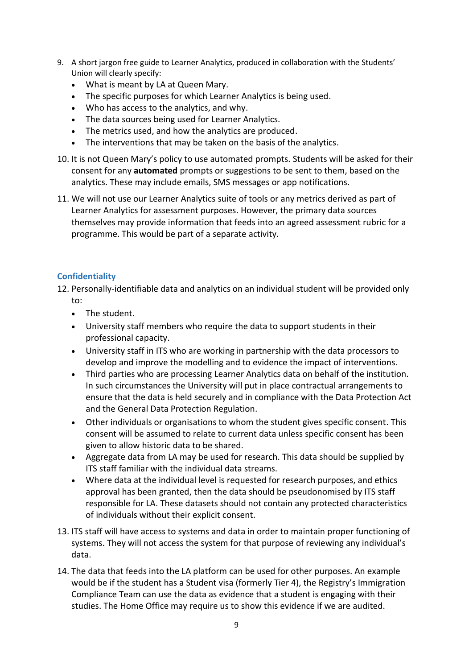- 9. A short jargon free guide to Learner Analytics, produced in collaboration with the Students' Union will clearly specify:
	- What is meant by LA at Queen Mary.
	- The specific purposes for which Learner Analytics is being used.
	- Who has access to the analytics, and why.
	- The data sources being used for Learner Analytics.
	- The metrics used, and how the analytics are produced.
	- The interventions that may be taken on the basis of the analytics.
- 10. It is not Queen Mary's policy to use automated prompts. Students will be asked for their consent for any **automated** prompts or suggestions to be sent to them, based on the analytics. These may include emails, SMS messages or app notifications.
- 11. We will not use our Learner Analytics suite of tools or any metrics derived as part of Learner Analytics for assessment purposes. However, the primary data sources themselves may provide information that feeds into an agreed assessment rubric for a programme. This would be part of a separate activity.

#### **Confidentiality**

- 12. Personally-identifiable data and analytics on an individual student will be provided only to:
	- The student.
	- University staff members who require the data to support students in their professional capacity.
	- University staff in ITS who are working in partnership with the data processors to develop and improve the modelling and to evidence the impact of interventions.
	- Third parties who are processing Learner Analytics data on behalf of the institution. In such circumstances the University will put in place contractual arrangements to ensure that the data is held securely and in compliance with the Data Protection Act and the General Data Protection Regulation.
	- Other individuals or organisations to whom the student gives specific consent. This consent will be assumed to relate to current data unless specific consent has been given to allow historic data to be shared.
	- Aggregate data from LA may be used for research. This data should be supplied by ITS staff familiar with the individual data streams.
	- Where data at the individual level is requested for research purposes, and ethics approval has been granted, then the data should be pseudonomised by ITS staff responsible for LA. These datasets should not contain any protected characteristics of individuals without their explicit consent.
- 13. ITS staff will have access to systems and data in order to maintain proper functioning of systems. They will not access the system for that purpose of reviewing any individual's data.
- 14. The data that feeds into the LA platform can be used for other purposes. An example would be if the student has a Student visa (formerly Tier 4), the Registry's Immigration Compliance Team can use the data as evidence that a student is engaging with their studies. The Home Office may require us to show this evidence if we are audited.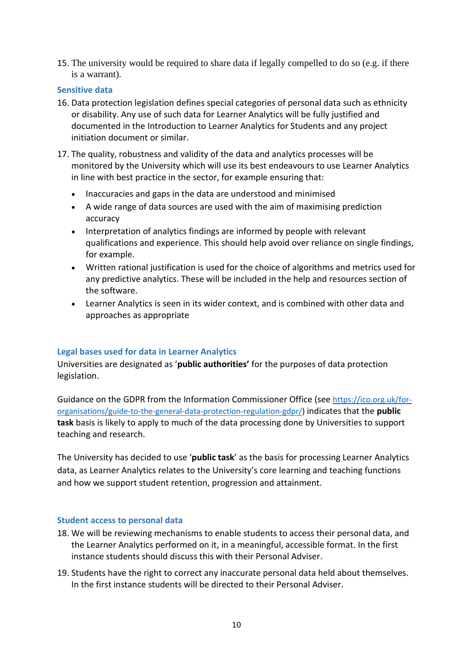15. The university would be required to share data if legally compelled to do so (e.g. if there is a warrant).

#### **Sensitive data**

- 16. Data protection legislation defines special categories of personal data such as ethnicity or disability. Any use of such data for Learner Analytics will be fully justified and documented in the Introduction to Learner Analytics for Students and any project initiation document or similar.
- 17. The quality, robustness and validity of the data and analytics processes will be monitored by the University which will use its best endeavours to use Learner Analytics in line with best practice in the sector, for example ensuring that:
	- Inaccuracies and gaps in the data are understood and minimised
	- A wide range of data sources are used with the aim of maximising prediction accuracy
	- Interpretation of analytics findings are informed by people with relevant qualifications and experience. This should help avoid over reliance on single findings, for example.
	- Written rational justification is used for the choice of algorithms and metrics used for any predictive analytics. These will be included in the help and resources section of the software.
	- Learner Analytics is seen in its wider context, and is combined with other data and approaches as appropriate

#### **Legal bases used for data in Learner Analytics**

Universities are designated as '**public authorities'** for the purposes of data protection legislation.

Guidance on the GDPR from the Information Commissioner Office (see [https://ico.org.uk/for](https://ico.org.uk/for-organisations/guide-to-the-general-data-protection-regulation-gdpr/)[organisations/guide-to-the-general-data-protection-regulation-gdpr/\)](https://ico.org.uk/for-organisations/guide-to-the-general-data-protection-regulation-gdpr/) indicates that the **public task** basis is likely to apply to much of the data processing done by Universities to support teaching and research.

The University has decided to use '**public task**' as the basis for processing Learner Analytics data, as Learner Analytics relates to the University's core learning and teaching functions and how we support student retention, progression and attainment.

#### **Student access to personal data**

- 18. We will be reviewing mechanisms to enable students to access their personal data, and the Learner Analytics performed on it, in a meaningful, accessible format. In the first instance students should discuss this with their Personal Adviser.
- 19. Students have the right to correct any inaccurate personal data held about themselves. In the first instance students will be directed to their Personal Adviser.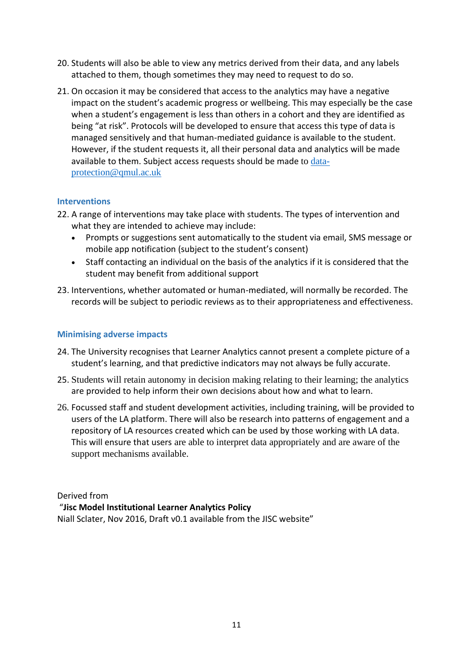- 20. Students will also be able to view any metrics derived from their data, and any labels attached to them, though sometimes they may need to request to do so.
- 21. On occasion it may be considered that access to the analytics may have a negative impact on the student's academic progress or wellbeing. This may especially be the case when a student's engagement is less than others in a cohort and they are identified as being "at risk". Protocols will be developed to ensure that access this type of data is managed sensitively and that human-mediated guidance is available to the student. However, if the student requests it, all their personal data and analytics will be made available to them. Subject access requests should be made to [data](mailto:data-protection@qmul.ac.uk)[protection@qmul.ac.uk](mailto:data-protection@qmul.ac.uk)

#### **Interventions**

- 22. A range of interventions may take place with students. The types of intervention and what they are intended to achieve may include:
	- Prompts or suggestions sent automatically to the student via email, SMS message or mobile app notification (subject to the student's consent)
	- Staff contacting an individual on the basis of the analytics if it is considered that the student may benefit from additional support
- 23. Interventions, whether automated or human-mediated, will normally be recorded. The records will be subject to periodic reviews as to their appropriateness and effectiveness.

#### **Minimising adverse impacts**

- 24. The University recognises that Learner Analytics cannot present a complete picture of a student's learning, and that predictive indicators may not always be fully accurate.
- 25. Students will retain autonomy in decision making relating to their learning; the analytics are provided to help inform their own decisions about how and what to learn.
- 26. Focussed staff and student development activities, including training, will be provided to users of the LA platform. There will also be research into patterns of engagement and a repository of LA resources created which can be used by those working with LA data. This will ensure that users are able to interpret data appropriately and are aware of the support mechanisms available.

#### Derived from

#### "**Jisc Model Institutional Learner Analytics Policy**

Niall Sclater, Nov 2016, Draft v0.1 available from the JISC website"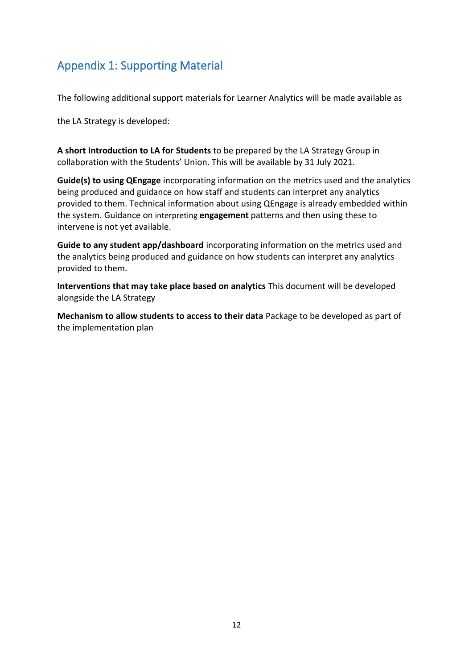## <span id="page-11-0"></span>Appendix 1: Supporting Material

The following additional support materials for Learner Analytics will be made available as

the LA Strategy is developed:

**A short Introduction to LA for Students** to be prepared by the LA Strategy Group in collaboration with the Students' Union. This will be available by 31 July 2021.

**Guide(s) to using QEngage** incorporating information on the metrics used and the analytics being produced and guidance on how staff and students can interpret any analytics provided to them. Technical information about using QEngage is already embedded within the system. Guidance on interpreting **engagement** patterns and then using these to intervene is not yet available.

**Guide to any student app/dashboard** incorporating information on the metrics used and the analytics being produced and guidance on how students can interpret any analytics provided to them.

**Interventions that may take place based on analytics** This document will be developed alongside the LA Strategy

**Mechanism to allow students to access to their data** Package to be developed as part of the implementation plan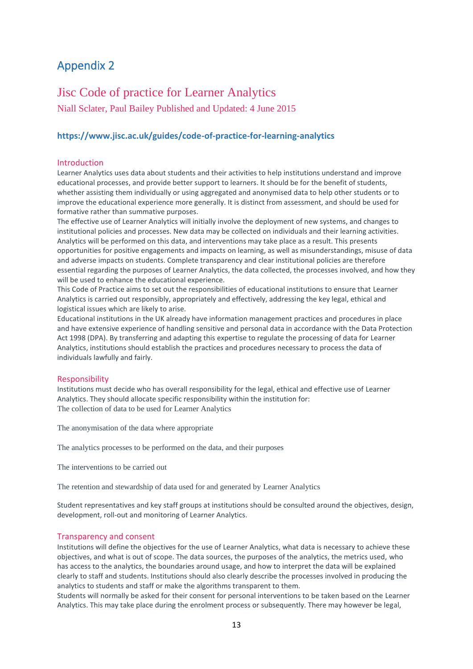## <span id="page-12-0"></span>Appendix 2

## Jisc Code of practice for Learner Analytics

Niall Sclater, [Paul Bailey P](https://www.jisc.ac.uk/staff/paul-bailey)ublished and Updated: 4 June 2015

#### **https://www.jisc.ac.uk/guides/code-of-practice-for-learning-analytics**

#### Introduction

Learner Analytics uses data about students and their activities to help institutions understand and improve educational processes, and provide better support to learners. It should be for the benefit of students, whether assisting them individually or using aggregated and anonymised data to help other students or to improve the educational experience more generally. It is distinct from assessment, and should be used for formative rather than summative purposes.

The effective use of Learner Analytics will initially involve the deployment of new systems, and changes to institutional policies and processes. New data may be collected on individuals and their learning activities. Analytics will be performed on this data, and interventions may take place as a result. This presents opportunities for positive engagements and impacts on learning, as well as misunderstandings, misuse of data and adverse impacts on students. Complete transparency and clear institutional policies are therefore essential regarding the purposes of Learner Analytics, the data collected, the processes involved, and how they will be used to enhance the educational experience.

This Code of Practice aims to set out the responsibilities of educational institutions to ensure that Learner Analytics is carried out responsibly, appropriately and effectively, addressing the key legal, ethical and logistical issues which are likely to arise.

Educational institutions in the UK already have information management practices and procedures in place and have extensive experience of handling sensitive and personal data in accordance with the Data Protection Act 1998 (DPA). By transferring and adapting this expertise to regulate the processing of data for Learner Analytics, institutions should establish the practices and procedures necessary to process the data of individuals lawfully and fairly.

#### Responsibility

Institutions must decide who has overall responsibility for the legal, ethical and effective use of Learner Analytics. They should allocate specific responsibility within the institution for: The collection of data to be used for Learner Analytics

The anonymisation of the data where appropriate

The analytics processes to be performed on the data, and their purposes

The interventions to be carried out

The retention and stewardship of data used for and generated by Learner Analytics

Student representatives and key staff groups at institutions should be consulted around the objectives, design, development, roll-out and monitoring of Learner Analytics.

#### Transparency and consent

Institutions will define the objectives for the use of Learner Analytics, what data is necessary to achieve these objectives, and what is out of scope. The data sources, the purposes of the analytics, the metrics used, who has access to the analytics, the boundaries around usage, and how to interpret the data will be explained clearly to staff and students. Institutions should also clearly describe the processes involved in producing the analytics to students and staff or make the algorithms transparent to them.

Students will normally be asked for their consent for personal interventions to be taken based on the Learner Analytics. This may take place during the enrolment process or subsequently. There may however be legal,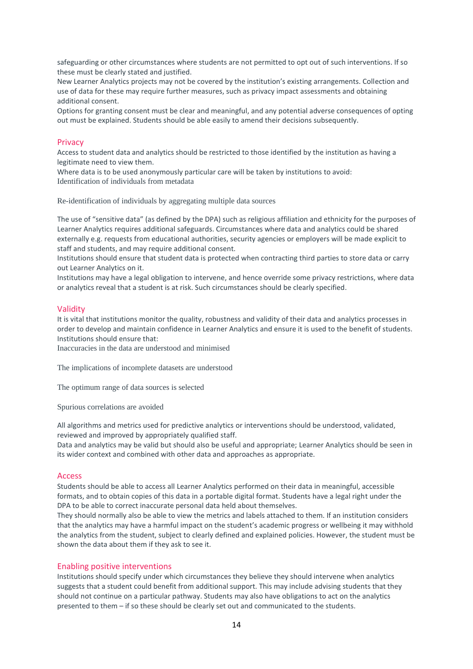safeguarding or other circumstances where students are not permitted to opt out of such interventions. If so these must be clearly stated and justified.

New Learner Analytics projects may not be covered by the institution's existing arrangements. Collection and use of data for these may require further measures, such as privacy impact assessments and obtaining additional consent.

Options for granting consent must be clear and meaningful, and any potential adverse consequences of opting out must be explained. Students should be able easily to amend their decisions subsequently.

#### Privacy

Access to student data and analytics should be restricted to those identified by the institution as having a legitimate need to view them.

Where data is to be used anonymously particular care will be taken by institutions to avoid: Identification of individuals from metadata

Re-identification of individuals by aggregating multiple data sources

The use of "sensitive data" (as defined by the DPA) such as religious affiliation and ethnicity for the purposes of Learner Analytics requires additional safeguards. Circumstances where data and analytics could be shared externally e.g. requests from educational authorities, security agencies or employers will be made explicit to staff and students, and may require additional consent.

Institutions should ensure that student data is protected when contracting third parties to store data or carry out Learner Analytics on it.

Institutions may have a legal obligation to intervene, and hence override some privacy restrictions, where data or analytics reveal that a student is at risk. Such circumstances should be clearly specified.

#### Validity

It is vital that institutions monitor the quality, robustness and validity of their data and analytics processes in order to develop and maintain confidence in Learner Analytics and ensure it is used to the benefit of students. Institutions should ensure that:

Inaccuracies in the data are understood and minimised

The implications of incomplete datasets are understood

The optimum range of data sources is selected

Spurious correlations are avoided

All algorithms and metrics used for predictive analytics or interventions should be understood, validated, reviewed and improved by appropriately qualified staff.

Data and analytics may be valid but should also be useful and appropriate; Learner Analytics should be seen in its wider context and combined with other data and approaches as appropriate.

#### **Access**

Students should be able to access all Learner Analytics performed on their data in meaningful, accessible formats, and to obtain copies of this data in a portable digital format. Students have a legal right under the DPA to be able to correct inaccurate personal data held about themselves.

They should normally also be able to view the metrics and labels attached to them. If an institution considers that the analytics may have a harmful impact on the student's academic progress or wellbeing it may withhold the analytics from the student, subject to clearly defined and explained policies. However, the student must be shown the data about them if they ask to see it.

#### Enabling positive interventions

Institutions should specify under which circumstances they believe they should intervene when analytics suggests that a student could benefit from additional support. This may include advising students that they should not continue on a particular pathway. Students may also have obligations to act on the analytics presented to them – if so these should be clearly set out and communicated to the students.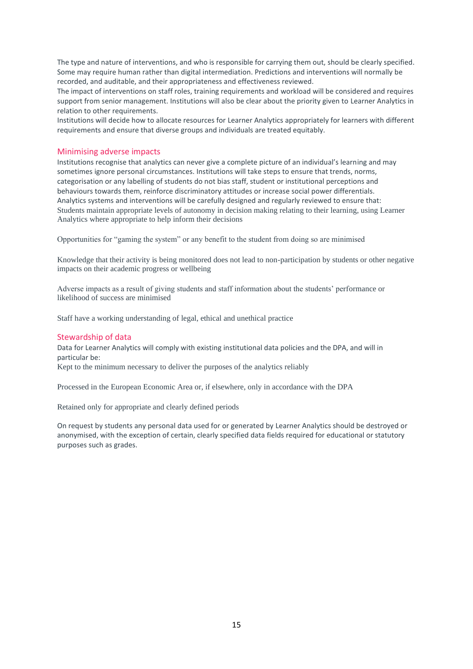The type and nature of interventions, and who is responsible for carrying them out, should be clearly specified. Some may require human rather than digital intermediation. Predictions and interventions will normally be recorded, and auditable, and their appropriateness and effectiveness reviewed.

The impact of interventions on staff roles, training requirements and workload will be considered and requires support from senior management. Institutions will also be clear about the priority given to Learner Analytics in relation to other requirements.

Institutions will decide how to allocate resources for Learner Analytics appropriately for learners with different requirements and ensure that diverse groups and individuals are treated equitably.

#### Minimising adverse impacts

Institutions recognise that analytics can never give a complete picture of an individual's learning and may sometimes ignore personal circumstances. Institutions will take steps to ensure that trends, norms, categorisation or any labelling of students do not bias staff, student or institutional perceptions and behaviours towards them, reinforce discriminatory attitudes or increase social power differentials. Analytics systems and interventions will be carefully designed and regularly reviewed to ensure that: Students maintain appropriate levels of autonomy in decision making relating to their learning, using Learner Analytics where appropriate to help inform their decisions

Opportunities for "gaming the system" or any benefit to the student from doing so are minimised

Knowledge that their activity is being monitored does not lead to non-participation by students or other negative impacts on their academic progress or wellbeing

Adverse impacts as a result of giving students and staff information about the students' performance or likelihood of success are minimised

Staff have a working understanding of legal, ethical and unethical practice

#### Stewardship of data

Data for Learner Analytics will comply with existing institutional data policies and the DPA, and will in particular be:

Kept to the minimum necessary to deliver the purposes of the analytics reliably

Processed in the European Economic Area or, if elsewhere, only in accordance with the DPA

Retained only for appropriate and clearly defined periods

On request by students any personal data used for or generated by Learner Analytics should be destroyed or anonymised, with the exception of certain, clearly specified data fields required for educational or statutory purposes such as grades.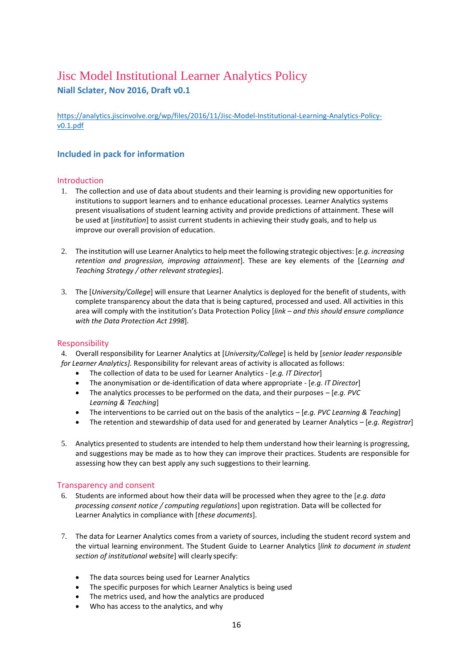## Jisc Model Institutional Learner Analytics Policy **Niall Sclater, Nov 2016, Draft v0.1**

[https://analytics.jiscinvolve.org/wp/files/2016/11/Jisc-Model-Institutional-Learning-Analytics-Policy](https://analytics.jiscinvolve.org/wp/files/2016/11/Jisc-Model-Institutional-Learning-Analytics-Policy-v0.1.pdf)[v0.1.pdf](https://analytics.jiscinvolve.org/wp/files/2016/11/Jisc-Model-Institutional-Learning-Analytics-Policy-v0.1.pdf)

#### **Included in pack for information**

#### Introduction

- 1. The collection and use of data about students and their learning is providing new opportunities for institutions to support learners and to enhance educational processes. Learner Analytics systems present visualisations of student learning activity and provide predictions of attainment. These will be used at [*institution*] to assist current students in achieving their study goals, and to help us improve our overall provision of education.
- 2. The institution will use Learner Analyticsto help meet the following strategic objectives: [*e.g. increasing retention and progression, improving attainment*]. These are key elements of the [*Learning and Teaching Strategy / other relevant strategies*].
- 3. The [*University/College*] will ensure that Learner Analytics is deployed for the benefit of students, with complete transparency about the data that is being captured, processed and used. All activities in this area will comply with the institution's Data Protection Policy [*link – and this should ensure compliance with the Data Protection Act 1998*].

#### Responsibility

4. Overall responsibility for Learner Analytics at [*University/College*] is held by [*senior leader responsible for Learner Analytics].* Responsibility for relevant areas of activity is allocated asfollows:

- The collection of data to be used for Learner Analytics [*e.g. IT Director*]
- The anonymisation or de-identification of data where appropriate [*e.g. IT Director*]
- The analytics processes to be performed on the data, and their purposes [*e.g. PVC Learning & Teaching*]
- The interventions to be carried out on the basis of the analytics [*e.g. PVC Learning & Teaching*]
- The retention and stewardship of data used for and generated by Learner Analytics [*e.g. Registrar*]
- 5. Analytics presented to students are intended to help them understand how their learning is progressing, and suggestions may be made as to how they can improve their practices. Students are responsible for assessing how they can best apply any such suggestions to their learning.

#### Transparency and consent

- 6. Students are informed about how their data will be processed when they agree to the [*e.g. data processing consent notice / computing regulations*] upon registration. Data will be collected for Learner Analytics in compliance with [*these documents*].
- 7. The data for Learner Analytics comes from a variety of sources, including the student record system and the virtual learning environment. The Student Guide to Learner Analytics [*link to document in student section of institutional website*] will clearly specify:
	- The data sources being used for Learner Analytics
	- The specific purposes for which Learner Analytics is being used
	- The metrics used, and how the analytics are produced
	- Who has access to the analytics, and why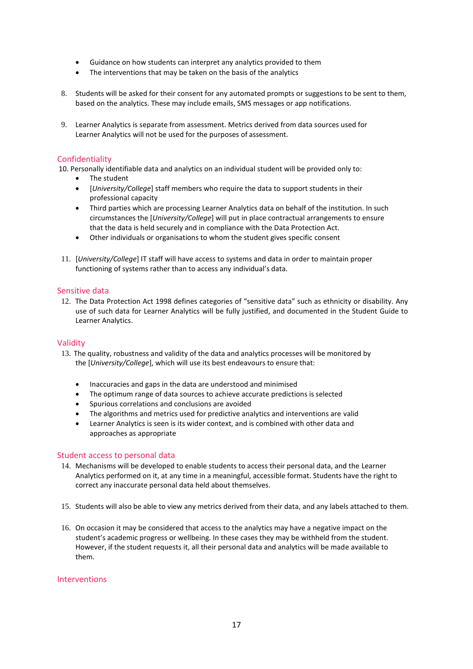- Guidance on how students can interpret any analytics provided to them
- The interventions that may be taken on the basis of the analytics
- 8. Students will be asked for their consent for any automated prompts or suggestions to be sent to them, based on the analytics. These may include emails, SMS messages or app notifications.
- 9. Learner Analytics is separate from assessment. Metrics derived from data sources used for Learner Analytics will not be used for the purposes of assessment.

#### Confidentiality

10. Personally identifiable data and analytics on an individual student will be provided only to:

- The student
- [*University/College*] staff members who require the data to support students in their professional capacity
- Third parties which are processing Learner Analytics data on behalf of the institution. In such circumstances the [*University/College*] will put in place contractual arrangements to ensure that the data is held securely and in compliance with the Data Protection Act.
- Other individuals or organisations to whom the student gives specific consent
- 11. [*University/College*] IT staff will have access to systems and data in order to maintain proper functioning of systems rather than to access any individual's data.

#### Sensitive data

12. The Data Protection Act 1998 defines categories of "sensitive data" such as ethnicity or disability. Any use of such data for Learner Analytics will be fully justified, and documented in the Student Guide to Learner Analytics.

#### Validity

- 13. The quality, robustness and validity of the data and analytics processes will be monitored by the [*University/College*], which will use its best endeavours to ensure that:
	- Inaccuracies and gaps in the data are understood and minimised
	- The optimum range of data sources to achieve accurate predictions is selected
	- Spurious correlations and conclusions are avoided
	- The algorithms and metrics used for predictive analytics and interventions are valid
	- Learner Analytics is seen is its wider context, and is combined with other data and approaches as appropriate

#### Student access to personal data

- 14. Mechanisms will be developed to enable students to access their personal data, and the Learner Analytics performed on it, at any time in a meaningful, accessible format. Students have the right to correct any inaccurate personal data held about themselves.
- 15. Students will also be able to view any metrics derived from their data, and any labels attached to them.
- 16. On occasion it may be considered that access to the analytics may have a negative impact on the student's academic progress or wellbeing. In these cases they may be withheld from the student. However, if the student requests it, all their personal data and analytics will be made available to them.

#### **Interventions**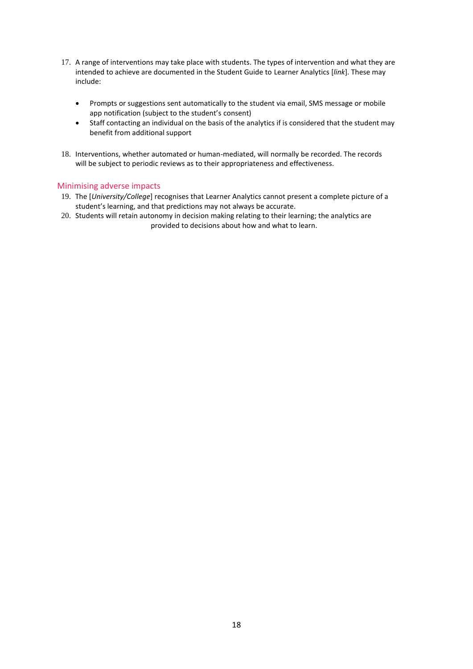- 17. A range of interventions may take place with students. The types of intervention and what they are intended to achieve are documented in the Student Guide to Learner Analytics [*link*]. These may include:
	- Prompts or suggestions sent automatically to the student via email, SMS message or mobile app notification (subject to the student's consent)
	- Staff contacting an individual on the basis of the analytics if is considered that the student may benefit from additional support
- 18. Interventions, whether automated or human-mediated, will normally be recorded. The records will be subject to periodic reviews as to their appropriateness and effectiveness.

#### Minimising adverse impacts

- 19. The [*University/College*] recognises that Learner Analytics cannot present a complete picture of a student's learning, and that predictions may not always be accurate.
- 20. Students will retain autonomy in decision making relating to their learning; the analytics are provided to decisions about how and what to learn.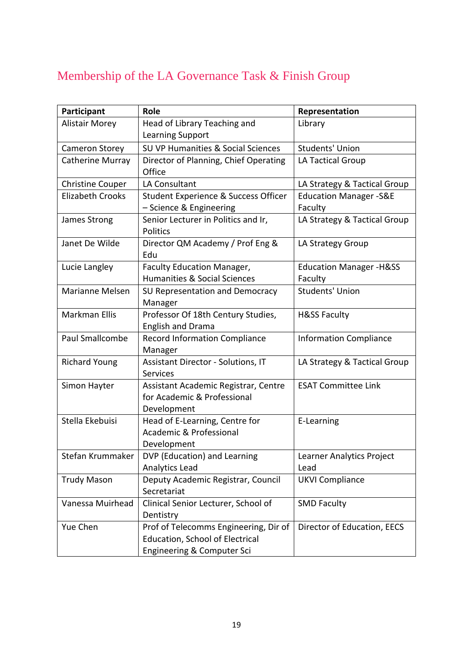## Membership of the LA Governance Task & Finish Group

| Participant             | <b>Role</b>                                                                                            | Representation                                 |
|-------------------------|--------------------------------------------------------------------------------------------------------|------------------------------------------------|
| <b>Alistair Morey</b>   | Head of Library Teaching and<br>Learning Support                                                       | Library                                        |
| Cameron Storey          | SU VP Humanities & Social Sciences                                                                     | <b>Students' Union</b>                         |
| Catherine Murray        | Director of Planning, Chief Operating<br>Office                                                        | LA Tactical Group                              |
| <b>Christine Couper</b> | <b>LA Consultant</b>                                                                                   | LA Strategy & Tactical Group                   |
| <b>Elizabeth Crooks</b> | Student Experience & Success Officer<br>- Science & Engineering                                        | <b>Education Manager -S&amp;E</b><br>Faculty   |
| James Strong            | Senior Lecturer in Politics and Ir,<br>Politics                                                        | LA Strategy & Tactical Group                   |
| Janet De Wilde          | Director QM Academy / Prof Eng &<br>Edu                                                                | LA Strategy Group                              |
| Lucie Langley           | <b>Faculty Education Manager,</b><br><b>Humanities &amp; Social Sciences</b>                           | <b>Education Manager - H&amp;SS</b><br>Faculty |
| Marianne Melsen         | SU Representation and Democracy<br>Manager                                                             | <b>Students' Union</b>                         |
| Markman Ellis           | Professor Of 18th Century Studies,<br><b>English and Drama</b>                                         | <b>H&amp;SS Faculty</b>                        |
| <b>Paul Smallcombe</b>  | <b>Record Information Compliance</b><br>Manager                                                        | <b>Information Compliance</b>                  |
| <b>Richard Young</b>    | Assistant Director - Solutions, IT<br><b>Services</b>                                                  | LA Strategy & Tactical Group                   |
| Simon Hayter            | Assistant Academic Registrar, Centre<br>for Academic & Professional<br>Development                     | <b>ESAT Committee Link</b>                     |
| Stella Ekebuisi         | Head of E-Learning, Centre for<br>Academic & Professional<br>Development                               | E-Learning                                     |
| Stefan Krummaker        | DVP (Education) and Learning<br>Analytics Lead                                                         | Learner Analytics Project<br>Lead              |
| <b>Trudy Mason</b>      | Deputy Academic Registrar, Council<br>Secretariat                                                      | <b>UKVI Compliance</b>                         |
| Vanessa Muirhead        | Clinical Senior Lecturer, School of<br>Dentistry                                                       | <b>SMD Faculty</b>                             |
| Yue Chen                | Prof of Telecomms Engineering, Dir of<br>Education, School of Electrical<br>Engineering & Computer Sci | Director of Education, EECS                    |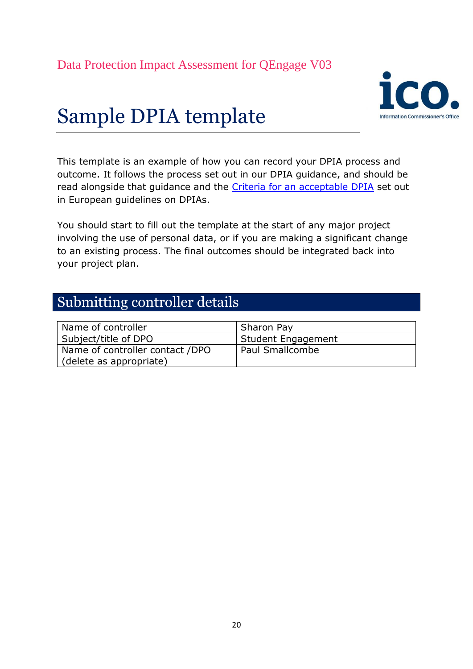

# Sample DPIA template

This template is an example of how you can record your DPIA process and outcome. It follows the process set out in our DPIA guidance, and should be read alongside that guidance and the [Criteria for an acceptable DPIA](http://ec.europa.eu/newsroom/document.cfm?doc_id=47711) set out in European guidelines on DPIAs.

You should start to fill out the template at the start of any major project involving the use of personal data, or if you are making a significant change to an existing process. The final outcomes should be integrated back into your project plan.

## Submitting controller details

| Name of controller              | Sharon Pay         |
|---------------------------------|--------------------|
| Subject/title of DPO            | Student Engagement |
| Name of controller contact /DPO | Paul Smallcombe    |
| (delete as appropriate)         |                    |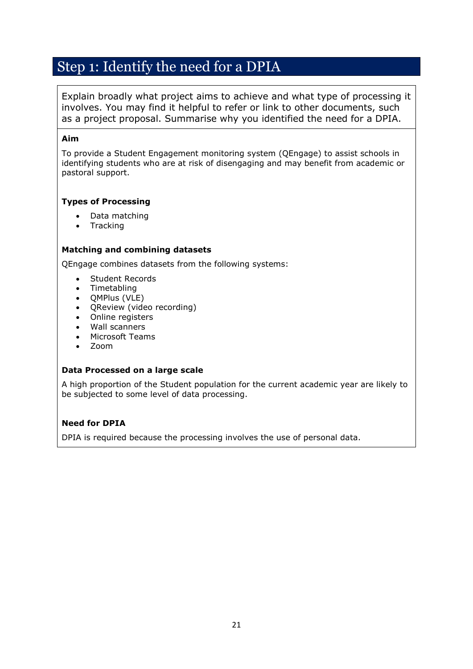## Step 1: Identify the need for a DPIA

Explain broadly what project aims to achieve and what type of processing it involves. You may find it helpful to refer or link to other documents, such as a project proposal. Summarise why you identified the need for a DPIA.

#### **Aim**

To provide a Student Engagement monitoring system (QEngage) to assist schools in identifying students who are at risk of disengaging and may benefit from academic or pastoral support.

#### **Types of Processing**

- Data matching
- Tracking

#### **Matching and combining datasets**

QEngage combines datasets from the following systems:

- Student Records
- Timetabling
- QMPlus (VLE)
- QReview (video recording)
- Online registers
- Wall scanners
- Microsoft Teams
- Zoom

#### **Data Processed on a large scale**

A high proportion of the Student population for the current academic year are likely to be subjected to some level of data processing.

#### **Need for DPIA**

DPIA is required because the processing involves the use of personal data.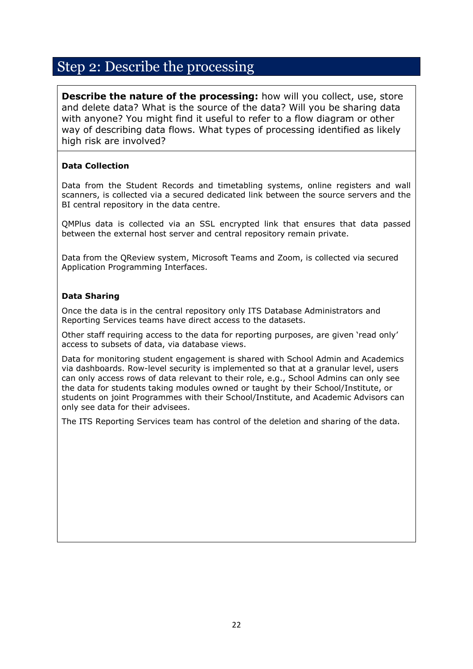## Step 2: Describe the processing

**Describe the nature of the processing:** how will you collect, use, store and delete data? What is the source of the data? Will you be sharing data with anyone? You might find it useful to refer to a flow diagram or other way of describing data flows. What types of processing identified as likely high risk are involved?

#### **Data Collection**

Data from the Student Records and timetabling systems, online registers and wall scanners, is collected via a secured dedicated link between the source servers and the BI central repository in the data centre.

QMPlus data is collected via an SSL encrypted link that ensures that data passed between the external host server and central repository remain private.

Data from the QReview system, Microsoft Teams and Zoom, is collected via secured Application Programming Interfaces.

#### **Data Sharing**

Once the data is in the central repository only ITS Database Administrators and Reporting Services teams have direct access to the datasets.

Other staff requiring access to the data for reporting purposes, are given 'read only' access to subsets of data, via database views.

Data for monitoring student engagement is shared with School Admin and Academics via dashboards. Row-level security is implemented so that at a granular level, users can only access rows of data relevant to their role, e.g., School Admins can only see the data for students taking modules owned or taught by their School/Institute, or students on joint Programmes with their School/Institute, and Academic Advisors can only see data for their advisees.

The ITS Reporting Services team has control of the deletion and sharing of the data.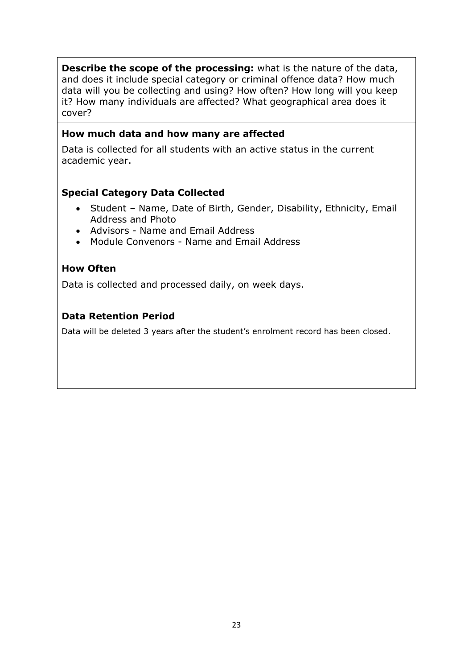**Describe the scope of the processing:** what is the nature of the data, and does it include special category or criminal offence data? How much data will you be collecting and using? How often? How long will you keep it? How many individuals are affected? What geographical area does it cover?

### **How much data and how many are affected**

Data is collected for all students with an active status in the current academic year.

### **Special Category Data Collected**

- Student Name, Date of Birth, Gender, Disability, Ethnicity, Email Address and Photo
- Advisors Name and Email Address
- Module Convenors Name and Email Address

### **How Often**

Data is collected and processed daily, on week days.

### **Data Retention Period**

Data will be deleted 3 years after the student's enrolment record has been closed.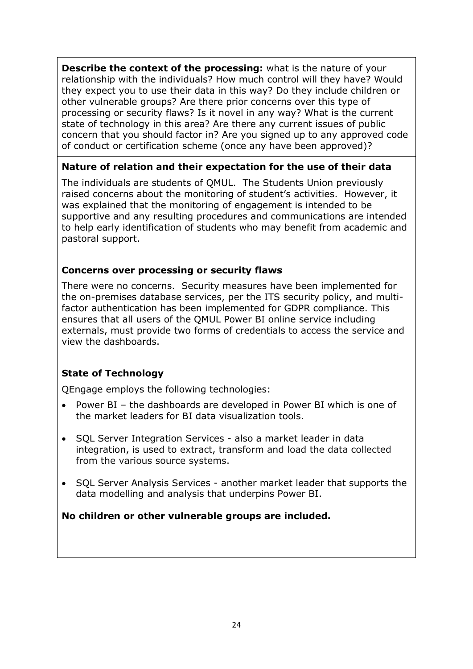**Describe the context of the processing:** what is the nature of your relationship with the individuals? How much control will they have? Would they expect you to use their data in this way? Do they include children or other vulnerable groups? Are there prior concerns over this type of processing or security flaws? Is it novel in any way? What is the current state of technology in this area? Are there any current issues of public concern that you should factor in? Are you signed up to any approved code of conduct or certification scheme (once any have been approved)?

### **Nature of relation and their expectation for the use of their data**

The individuals are students of QMUL. The Students Union previously raised concerns about the monitoring of student's activities. However, it was explained that the monitoring of engagement is intended to be supportive and any resulting procedures and communications are intended to help early identification of students who may benefit from academic and pastoral support.

## **Concerns over processing or security flaws**

There were no concerns. Security measures have been implemented for the on-premises database services, per the ITS security policy, and multifactor authentication has been implemented for GDPR compliance. This ensures that all users of the QMUL Power BI online service including externals, must provide two forms of credentials to access the service and view the dashboards.

## **State of Technology**

QEngage employs the following technologies:

- Power BI the dashboards are developed in Power BI which is one of the market leaders for BI data visualization tools.
- SQL Server Integration Services also a market leader in data integration, is used to extract, transform and load the data collected from the various source systems.
- SQL Server Analysis Services another market leader that supports the data modelling and analysis that underpins Power BI.

## **No children or other vulnerable groups are included.**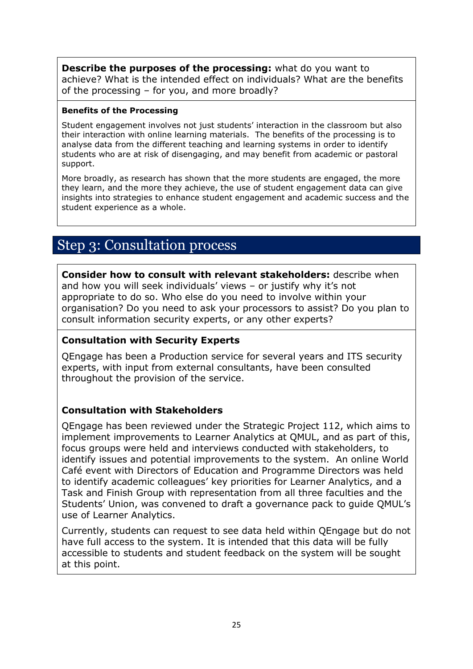**Describe the purposes of the processing:** what do you want to achieve? What is the intended effect on individuals? What are the benefits of the processing – for you, and more broadly?

#### **Benefits of the Processing**

Student engagement involves not just students' interaction in the classroom but also their interaction with online learning materials. The benefits of the processing is to analyse data from the different teaching and learning systems in order to identify students who are at risk of disengaging, and may benefit from academic or pastoral support.

More broadly, as research has shown that the more students are engaged, the more they learn, and the more they achieve, the use of student engagement data can give insights into strategies to enhance student engagement and academic success and the student experience as a whole.

## Step 3: Consultation process

**Consider how to consult with relevant stakeholders:** describe when and how you will seek individuals' views – or justify why it's not appropriate to do so. Who else do you need to involve within your organisation? Do you need to ask your processors to assist? Do you plan to consult information security experts, or any other experts?

### **Consultation with Security Experts**

QEngage has been a Production service for several years and ITS security experts, with input from external consultants, have been consulted throughout the provision of the service.

### **Consultation with Stakeholders**

QEngage has been reviewed under the Strategic Project 112, which aims to implement improvements to Learner Analytics at QMUL, and as part of this, focus groups were held and interviews conducted with stakeholders, to identify issues and potential improvements to the system. An online World Café event with Directors of Education and Programme Directors was held to identify academic colleagues' key priorities for Learner Analytics, and a Task and Finish Group with representation from all three faculties and the Students' Union, was convened to draft a governance pack to guide QMUL's use of Learner Analytics.

Currently, students can request to see data held within QEngage but do not have full access to the system. It is intended that this data will be fully accessible to students and student feedback on the system will be sought at this point.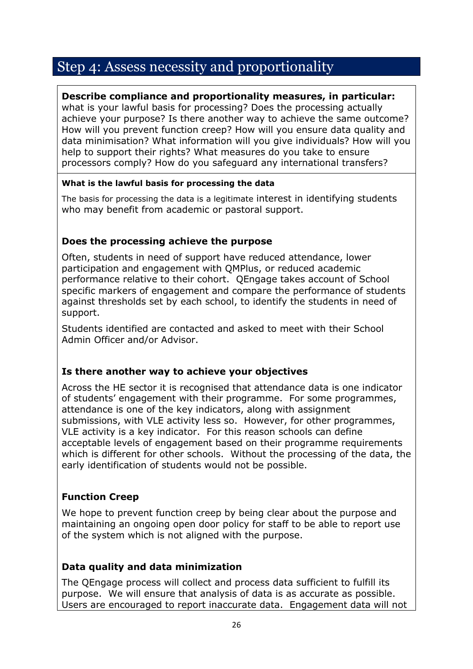## Step 4: Assess necessity and proportionality

### **Describe compliance and proportionality measures, in particular:**

what is your lawful basis for processing? Does the processing actually achieve your purpose? Is there another way to achieve the same outcome? How will you prevent function creep? How will you ensure data quality and data minimisation? What information will you give individuals? How will you help to support their rights? What measures do you take to ensure processors comply? How do you safeguard any international transfers?

### **What is the lawful basis for processing the data**

The basis for processing the data is a legitimate interest in identifying students who may benefit from academic or pastoral support.

## **Does the processing achieve the purpose**

Often, students in need of support have reduced attendance, lower participation and engagement with QMPlus, or reduced academic performance relative to their cohort. QEngage takes account of School specific markers of engagement and compare the performance of students against thresholds set by each school, to identify the students in need of support.

Students identified are contacted and asked to meet with their School Admin Officer and/or Advisor.

## **Is there another way to achieve your objectives**

Across the HE sector it is recognised that attendance data is one indicator of students' engagement with their programme. For some programmes, attendance is one of the key indicators, along with assignment submissions, with VLE activity less so. However, for other programmes, VLE activity is a key indicator. For this reason schools can define acceptable levels of engagement based on their programme requirements which is different for other schools. Without the processing of the data, the early identification of students would not be possible.

## **Function Creep**

We hope to prevent function creep by being clear about the purpose and maintaining an ongoing open door policy for staff to be able to report use of the system which is not aligned with the purpose.

## **Data quality and data minimization**

The QEngage process will collect and process data sufficient to fulfill its purpose. We will ensure that analysis of data is as accurate as possible. Users are encouraged to report inaccurate data. Engagement data will not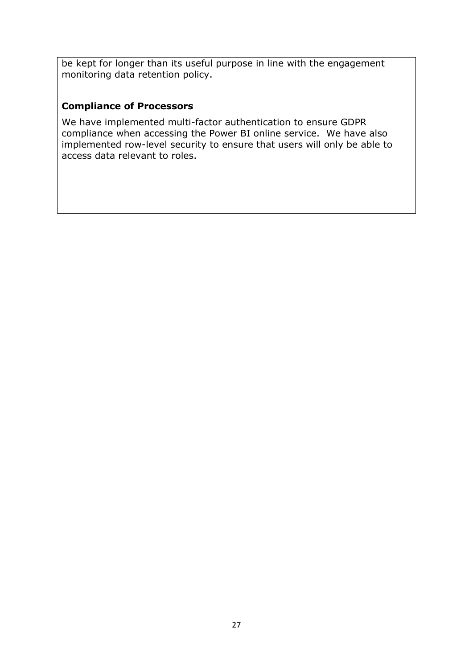be kept for longer than its useful purpose in line with the engagement monitoring data retention policy.

## **Compliance of Processors**

We have implemented multi-factor authentication to ensure GDPR compliance when accessing the Power BI online service. We have also implemented row-level security to ensure that users will only be able to access data relevant to roles.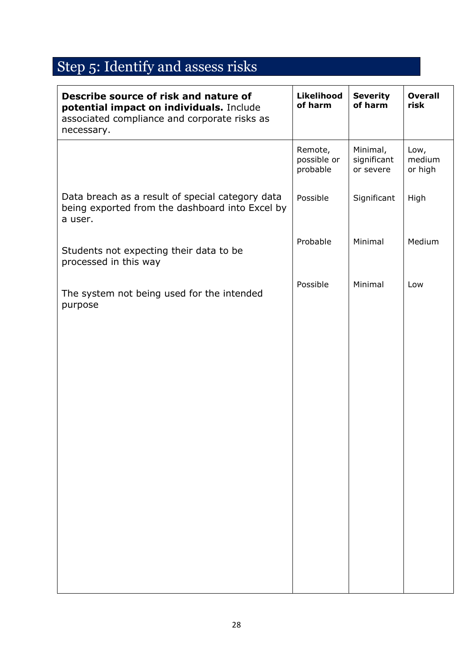# Step 5: Identify and assess risks

| Describe source of risk and nature of<br>potential impact on individuals. Include<br>associated compliance and corporate risks as<br>necessary. | Likelihood<br>of harm              | <b>Severity</b><br>of harm           | <b>Overall</b><br>risk    |
|-------------------------------------------------------------------------------------------------------------------------------------------------|------------------------------------|--------------------------------------|---------------------------|
|                                                                                                                                                 | Remote,<br>possible or<br>probable | Minimal,<br>significant<br>or severe | Low,<br>medium<br>or high |
| Data breach as a result of special category data<br>being exported from the dashboard into Excel by<br>a user.                                  | Possible                           | Significant                          | High                      |
| Students not expecting their data to be<br>processed in this way                                                                                | Probable                           | Minimal                              | Medium                    |
| The system not being used for the intended<br>purpose                                                                                           | Possible                           | Minimal                              | Low                       |
|                                                                                                                                                 |                                    |                                      |                           |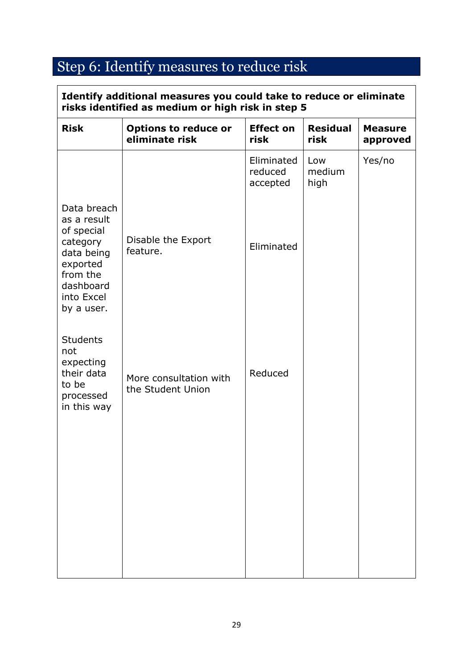# Step 6: Identify measures to reduce risk

| <b>Risk</b>                                                                                                                         | <b>Options to reduce or</b><br>eliminate risk | <b>Effect on</b><br>risk          | <b>Residual</b><br>risk | <b>Measure</b><br>approved |
|-------------------------------------------------------------------------------------------------------------------------------------|-----------------------------------------------|-----------------------------------|-------------------------|----------------------------|
|                                                                                                                                     |                                               | Eliminated<br>reduced<br>accepted | Low<br>medium<br>high   | Yes/no                     |
| Data breach<br>as a result<br>of special<br>category<br>data being<br>exported<br>from the<br>dashboard<br>into Excel<br>by a user. | Disable the Export<br>feature.                | Eliminated                        |                         |                            |
| <b>Students</b><br>not<br>expecting<br>their data<br>to be<br>processed<br>in this way                                              | More consultation with<br>the Student Union   | Reduced                           |                         |                            |
|                                                                                                                                     |                                               |                                   |                         |                            |

 $\overline{\phantom{a}}$